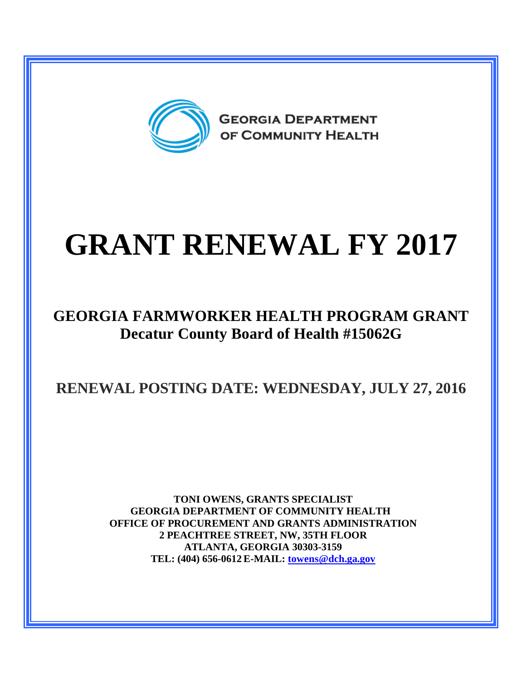

## **GRANT RENEWAL FY 2017**

## **GEORGIA FARMWORKER HEALTH PROGRAM GRANT Decatur County Board of Health #15062G**

**RENEWAL POSTING DATE: WEDNESDAY, JULY 27, 2016**

**TONI OWENS, GRANTS SPECIALIST GEORGIA DEPARTMENT OF COMMUNITY HEALTH OFFICE OF PROCUREMENT AND GRANTS ADMINISTRATION 2 PEACHTREE STREET, NW, 35TH FLOOR ATLANTA, GEORGIA 30303-3159 TEL: (404) 656-0612 E-MAIL: [towens@dch.ga.gov](mailto:towens@dch.ga.gov)**